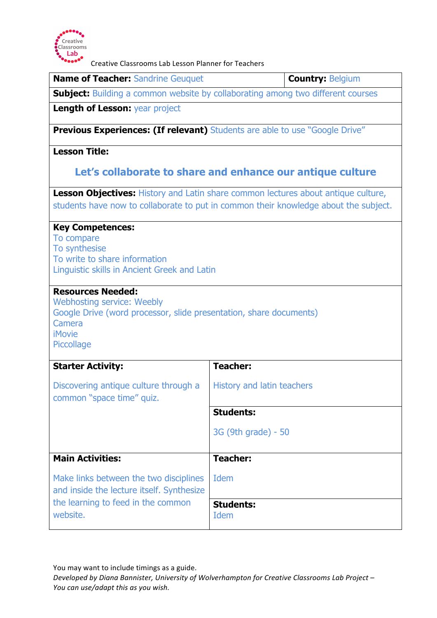

Creative Classrooms Lab Lesson Planner for Teachers

| <b>Name of Teacher: Sandrine Geuquet</b>                                                                                                                                     | <b>Country: Belgium</b>                                                                  |  |
|------------------------------------------------------------------------------------------------------------------------------------------------------------------------------|------------------------------------------------------------------------------------------|--|
| <b>Subject:</b> Building a common website by collaborating among two different courses                                                                                       |                                                                                          |  |
| <b>Length of Lesson: year project</b>                                                                                                                                        |                                                                                          |  |
| <b>Previous Experiences: (If relevant)</b> Students are able to use "Google Drive"                                                                                           |                                                                                          |  |
| <b>Lesson Title:</b>                                                                                                                                                         |                                                                                          |  |
|                                                                                                                                                                              | Let's collaborate to share and enhance our antique culture                               |  |
|                                                                                                                                                                              | <b>Lesson Objectives:</b> History and Latin share common lectures about antique culture, |  |
| students have now to collaborate to put in common their knowledge about the subject.                                                                                         |                                                                                          |  |
| <b>Key Competences:</b><br>To compare<br>To synthesise<br>To write to share information<br>Linguistic skills in Ancient Greek and Latin                                      |                                                                                          |  |
| <b>Resources Needed:</b><br><b>Webhosting service: Weebly</b><br>Google Drive (word processor, slide presentation, share documents)<br>Camera<br><b>iMovie</b><br>Piccollage |                                                                                          |  |
| <b>Starter Activity:</b>                                                                                                                                                     | <b>Teacher:</b>                                                                          |  |
| Discovering antique culture through a<br>common "space time" quiz.                                                                                                           | History and latin teachers                                                               |  |
|                                                                                                                                                                              | <b>Students:</b>                                                                         |  |
|                                                                                                                                                                              | 3G (9th grade) - 50                                                                      |  |
| <b>Main Activities:</b>                                                                                                                                                      | <b>Teacher:</b>                                                                          |  |
| Make links between the two disciplines<br>and inside the lecture itself. Synthesize                                                                                          | <b>Idem</b>                                                                              |  |
| the learning to feed in the common<br>website.                                                                                                                               | <b>Students:</b><br>Idem                                                                 |  |

You may want to include timings as a guide.